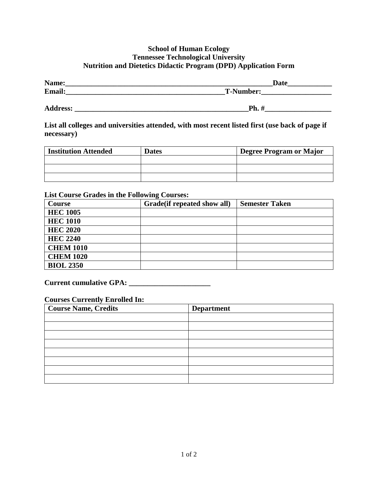## **School of Human Ecology Tennessee Technological University Nutrition and Dietetics Didactic Program (DPD) Application Form**

| Name:           | <b>Date</b>      |  |
|-----------------|------------------|--|
| <b>Email:</b>   | <b>T-Number:</b> |  |
| <b>Address:</b> | <b>Ph.</b> #     |  |

**List all colleges and universities attended, with most recent listed first (use back of page if necessary)** 

| <b>Institution Attended</b> | <b>Dates</b> | Degree Program or Major |
|-----------------------------|--------------|-------------------------|
|                             |              |                         |
|                             |              |                         |
|                             |              |                         |

### **List Course Grades in the Following Courses:**

| Course           | Grade (if repeated show all) | <b>Semester Taken</b> |
|------------------|------------------------------|-----------------------|
| <b>HEC 1005</b>  |                              |                       |
| <b>HEC 1010</b>  |                              |                       |
| <b>HEC 2020</b>  |                              |                       |
| <b>HEC 2240</b>  |                              |                       |
| <b>CHEM 1010</b> |                              |                       |
| <b>CHEM 1020</b> |                              |                       |
| <b>BIOL 2350</b> |                              |                       |

# **Current cumulative GPA: \_\_\_\_\_\_\_\_\_\_\_\_\_\_\_\_\_\_\_\_\_\_**

#### **Courses Currently Enrolled In:**

| <b>Course Name, Credits</b> | <b>Department</b> |
|-----------------------------|-------------------|
|                             |                   |
|                             |                   |
|                             |                   |
|                             |                   |
|                             |                   |
|                             |                   |
|                             |                   |
|                             |                   |